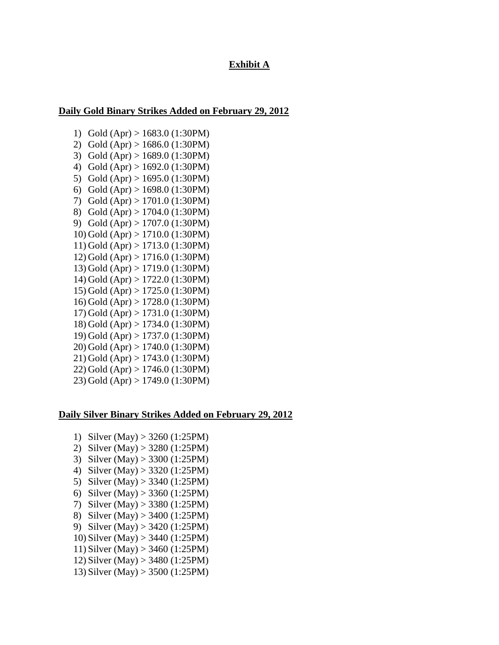## **Exhibit A**

## **Daily Gold Binary Strikes Added on February 29, 2012**

1) Gold (Apr) > 1683.0 (1:30PM) 2) Gold (Apr) > 1686.0 (1:30PM) 3) Gold (Apr) > 1689.0 (1:30PM) 4) Gold (Apr) > 1692.0 (1:30PM) 5) Gold (Apr) > 1695.0 (1:30PM) 6) Gold (Apr) > 1698.0 (1:30PM) 7) Gold (Apr) > 1701.0 (1:30PM) 8) Gold (Apr) > 1704.0 (1:30PM) 9) Gold (Apr) > 1707.0 (1:30PM) 10) Gold (Apr) > 1710.0 (1:30PM) 11) Gold (Apr) > 1713.0 (1:30PM) 12) Gold (Apr) > 1716.0 (1:30PM) 13) Gold (Apr) > 1719.0 (1:30PM) 14) Gold (Apr) > 1722.0 (1:30PM) 15) Gold (Apr) > 1725.0 (1:30PM) 16) Gold (Apr) > 1728.0 (1:30PM) 17) Gold (Apr) > 1731.0 (1:30PM) 18) Gold (Apr) > 1734.0 (1:30PM) 19) Gold (Apr) > 1737.0 (1:30PM) 20) Gold (Apr) > 1740.0 (1:30PM) 21) Gold (Apr) > 1743.0 (1:30PM) 22) Gold (Apr) > 1746.0 (1:30PM) 23) Gold (Apr) > 1749.0 (1:30PM)

## **Daily Silver Binary Strikes Added on February 29, 2012**

- 1) Silver (May) > 3260 (1:25PM)
- 2) Silver (May) > 3280 (1:25PM)
- 3) Silver (May) > 3300 (1:25PM)
- 4) Silver (May) > 3320 (1:25PM)
- 5) Silver (May) > 3340 (1:25PM)
- 6) Silver (May) > 3360 (1:25PM)
- 7) Silver (May) > 3380 (1:25PM)
- 8) Silver (May) > 3400 (1:25PM)
- 9) Silver (May) > 3420 (1:25PM)
- 10) Silver (May) > 3440 (1:25PM)
- 11) Silver (May) > 3460 (1:25PM)
- 12) Silver (May) > 3480 (1:25PM)
- 13) Silver (May) > 3500 (1:25PM)